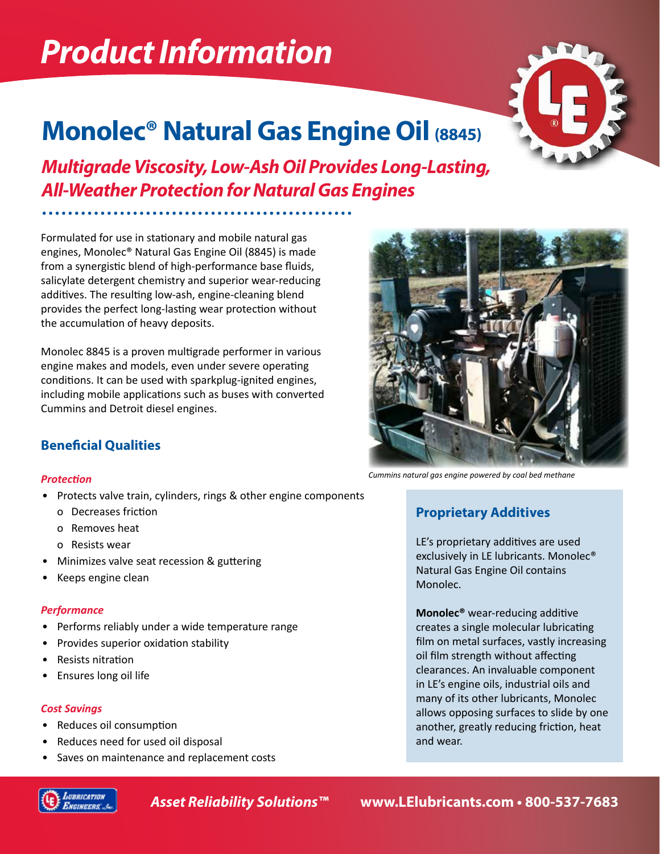# *Product Information*



# **Monolec® Natural Gas Engine Oil (8845)**

*Multigrade Viscosity, Low-Ash Oil Provides Long-Lasting, All-Weather Protection for Natural Gas Engines*

Formulated for use in stationary and mobile natural gas engines, Monolec® Natural Gas Engine Oil (8845) is made from a synergistic blend of high-performance base fluids, salicylate detergent chemistry and superior wear-reducing additives. The resulting low-ash, engine-cleaning blend provides the perfect long-lasting wear protection without the accumulation of heavy deposits.

Monolec 8845 is a proven multigrade performer in various engine makes and models, even under severe operating conditions. It can be used with sparkplug-ignited engines, including mobile applications such as buses with converted Cummins and Detroit diesel engines.

### **Beneficial Qualities**

### *Protection*

- Protects valve train, cylinders, rings & other engine components
	- o Decreases friction
	- o Removes heat
	- o Resists wear
- Minimizes valve seat recession & guttering
- Keeps engine clean

### *Performance*

- Performs reliably under a wide temperature range
- Provides superior oxidation stability
- Resists nitration
- Ensures long oil life

### *Cost Savings*

- Reduces oil consumption
- Reduces need for used oil disposal
- Saves on maintenance and replacement costs

*Cummins natural gas engine powered by coal bed methane*

## **Proprietary Additives**

LE's proprietary additives are used exclusively in LE lubricants. Monolec® Natural Gas Engine Oil contains Monolec.

**Monolec®** wear-reducing additive creates a single molecular lubricating film on metal surfaces, vastly increasing oil film strength without affecting clearances. An invaluable component in LE's engine oils, industrial oils and many of its other lubricants, Monolec allows opposing surfaces to slide by one another, greatly reducing friction, heat and wear.



*Asset Reliability Solutions™* **www.LElubricants.com • 800-537-7683**